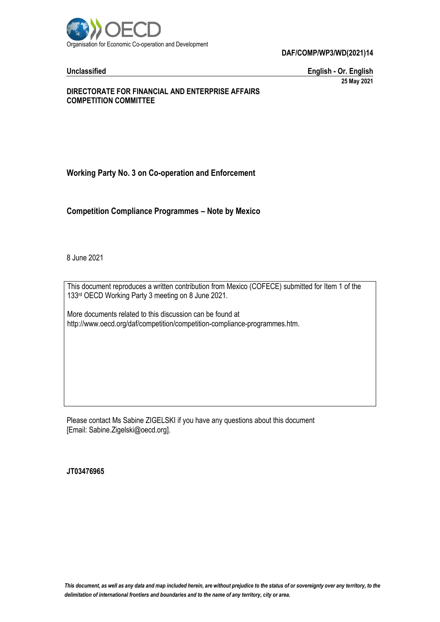

**DAF/COMP/WP3/WD(2021)14**

**Unclassified English - Or. English 25 May 2021**

### **DIRECTORATE FOR FINANCIAL AND ENTERPRISE AFFAIRS COMPETITION COMMITTEE**

# **Working Party No. 3 on Co-operation and Enforcement**

**Competition Compliance Programmes – Note by Mexico**

8 June 2021

This document reproduces a written contribution from Mexico (COFECE) submitted for Item 1 of the 133rd OECD Working Party 3 meeting on 8 June 2021.

More documents related to this discussion can be found at http://www.oecd.org/daf/competition/competition-compliance-programmes.htm.

Please contact Ms Sabine ZIGELSKI if you have any questions about this document [Email: Sabine.Zigelski@oecd.org].

**JT03476965**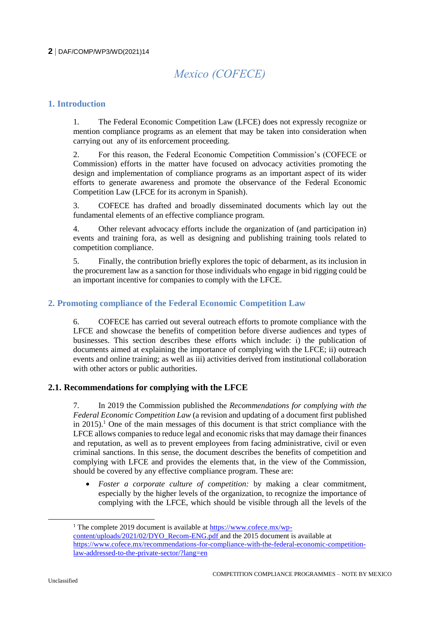### **2** DAF/COMP/WP3/WD(2021)14

# *Mexico (COFECE)*

## **1. Introduction**

1. The Federal Economic Competition Law (LFCE) does not expressly recognize or mention compliance programs as an element that may be taken into consideration when carrying out any of its enforcement proceeding.

2. For this reason, the Federal Economic Competition Commission's (COFECE or Commission) efforts in the matter have focused on advocacy activities promoting the design and implementation of compliance programs as an important aspect of its wider efforts to generate awareness and promote the observance of the Federal Economic Competition Law (LFCE for its acronym in Spanish).

3. COFECE has drafted and broadly disseminated documents which lay out the fundamental elements of an effective compliance program.

4. Other relevant advocacy efforts include the organization of (and participation in) events and training fora, as well as designing and publishing training tools related to competition compliance.

5. Finally, the contribution briefly explores the topic of debarment, as its inclusion in the procurement law as a sanction for those individuals who engage in bid rigging could be an important incentive for companies to comply with the LFCE.

### **2. Promoting compliance of the Federal Economic Competition Law**

6. COFECE has carried out several outreach efforts to promote compliance with the LFCE and showcase the benefits of competition before diverse audiences and types of businesses. This section describes these efforts which include: i) the publication of documents aimed at explaining the importance of complying with the LFCE; ii) outreach events and online training; as well as iii) activities derived from institutional collaboration with other actors or public authorities.

#### **2.1. Recommendations for complying with the LFCE**

7. In 2019 the Commission published the *Recommendations for complying with the Federal Economic Competition Law* (a revision and updating of a document first published in 2015).<sup>1</sup> One of the main messages of this document is that strict compliance with the LFCE allows companies to reduce legal and economic risks that may damage their finances and reputation, as well as to prevent employees from facing administrative, civil or even criminal sanctions. In this sense, the document describes the benefits of competition and complying with LFCE and provides the elements that, in the view of the Commission, should be covered by any effective compliance program. These are:

 *Foster a corporate culture of competition:* by making a clear commitment, especially by the higher levels of the organization, to recognize the importance of complying with the LFCE, which should be visible through all the levels of the

<sup>&</sup>lt;sup>1</sup> The complete 2019 document is available at [https://www.cofece.mx/wp](https://www.cofece.mx/wp-content/uploads/2021/02/DYO_Recom-ENG.pdf)[content/uploads/2021/02/DYO\\_Recom-ENG.pdf](https://www.cofece.mx/wp-content/uploads/2021/02/DYO_Recom-ENG.pdf) and the 2015 document is available at https://www.cofece.mx/recommendations-for-compliance-with-the-federal-economic-competitionlaw-addressed-to-the-private-sector/?lang=en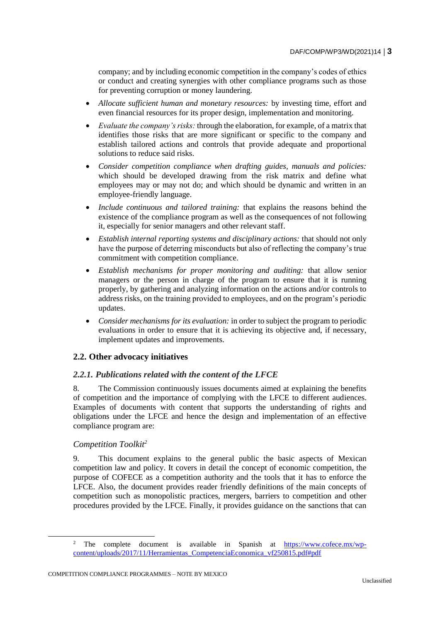company; and by including economic competition in the company's codes of ethics or conduct and creating synergies with other compliance programs such as those for preventing corruption or money laundering.

- *Allocate sufficient human and monetary resources:* by investing time, effort and even financial resources for its proper design, implementation and monitoring.
- *Evaluate the company's risks:* through the elaboration, for example, of a matrix that identifies those risks that are more significant or specific to the company and establish tailored actions and controls that provide adequate and proportional solutions to reduce said risks.
- *Consider competition compliance when drafting guides, manuals and policies:* which should be developed drawing from the risk matrix and define what employees may or may not do; and which should be dynamic and written in an employee-friendly language.
- *Include continuous and tailored training:* that explains the reasons behind the existence of the compliance program as well as the consequences of not following it, especially for senior managers and other relevant staff.
- *Establish internal reporting systems and disciplinary actions:* that should not only have the purpose of deterring misconducts but also of reflecting the company's true commitment with competition compliance.
- *Establish mechanisms for proper monitoring and auditing:* that allow senior managers or the person in charge of the program to ensure that it is running properly, by gathering and analyzing information on the actions and/or controls to address risks, on the training provided to employees, and on the program's periodic updates.
- *Consider mechanisms for its evaluation:* in order to subject the program to periodic evaluations in order to ensure that it is achieving its objective and, if necessary, implement updates and improvements.

# **2.2. Other advocacy initiatives**

#### *2.2.1. Publications related with the content of the LFCE*

8. The Commission continuously issues documents aimed at explaining the benefits of competition and the importance of complying with the LFCE to different audiences. Examples of documents with content that supports the understanding of rights and obligations under the LFCE and hence the design and implementation of an effective compliance program are:

#### *Competition Toolkit<sup>2</sup>*

9. This document explains to the general public the basic aspects of Mexican competition law and policy. It covers in detail the concept of economic competition, the purpose of COFECE as a competition authority and the tools that it has to enforce the LFCE. Also, the document provides reader friendly definitions of the main concepts of competition such as monopolistic practices, mergers, barriers to competition and other procedures provided by the LFCE. Finally, it provides guidance on the sanctions that can

<sup>2</sup> The complete document is available in Spanish at [https://www.cofece.mx/wp](https://www.cofece.mx/wp-content/uploads/2017/11/Herramientas_CompetenciaEconomica_vf250815.pdf#pdf)[content/uploads/2017/11/Herramientas\\_CompetenciaEconomica\\_vf250815.pdf#pdf](https://www.cofece.mx/wp-content/uploads/2017/11/Herramientas_CompetenciaEconomica_vf250815.pdf#pdf)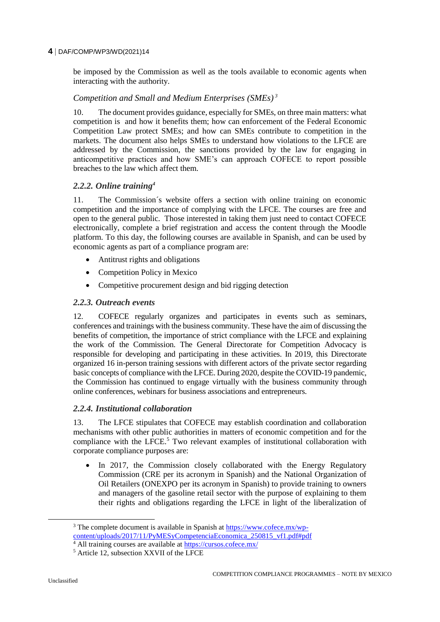### **4** DAF/COMP/WP3/WD(2021)14

be imposed by the Commission as well as the tools available to economic agents when interacting with the authority.

# *Competition and Small and Medium Enterprises (SMEs) <sup>3</sup>*

10. The document provides guidance, especially for SMEs, on three main matters: what competition is and how it benefits them; how can enforcement of the Federal Economic Competition Law protect SMEs; and how can SMEs contribute to competition in the markets. The document also helps SMEs to understand how violations to the LFCE are addressed by the Commission, the sanctions provided by the law for engaging in anticompetitive practices and how SME's can approach COFECE to report possible breaches to the law which affect them.

### *2.2.2. Online training<sup>4</sup>*

11. The Commission´s website offers a section with online training on economic competition and the importance of complying with the LFCE. The courses are free and open to the general public. Those interested in taking them just need to contact COFECE electronically, complete a brief registration and access the content through the Moodle platform. To this day, the following courses are available in Spanish, and can be used by economic agents as part of a compliance program are:

- Antitrust rights and obligations
- Competition Policy in Mexico
- Competitive procurement design and bid rigging detection

# *2.2.3. Outreach events*

12. COFECE regularly organizes and participates in events such as seminars, conferences and trainings with the business community. These have the aim of discussing the benefits of competition, the importance of strict compliance with the LFCE and explaining the work of the Commission. The General Directorate for Competition Advocacy is responsible for developing and participating in these activities. In 2019, this Directorate organized 16 in-person training sessions with different actors of the private sector regarding basic concepts of compliance with the LFCE. During 2020, despite the COVID-19 pandemic, the Commission has continued to engage virtually with the business community through online conferences, webinars for business associations and entrepreneurs.

#### *2.2.4. Institutional collaboration*

13. The LFCE stipulates that COFECE may establish coordination and collaboration mechanisms with other public authorities in matters of economic competition and for the compliance with the LFCE.<sup>5</sup> Two relevant examples of institutional collaboration with corporate compliance purposes are:

 In 2017, the Commission closely collaborated with the Energy Regulatory Commission (CRE per its acronym in Spanish) and the National Organization of Oil Retailers (ONEXPO per its acronym in Spanish) to provide training to owners and managers of the gasoline retail sector with the purpose of explaining to them their rights and obligations regarding the LFCE in light of the liberalization of

<sup>&</sup>lt;sup>3</sup> The complete document is available in Spanish at [https://www.cofece.mx/wp](https://www.cofece.mx/wp-content/uploads/2017/11/PyMESyCompetenciaEconomica_250815_vf1.pdf#pdf)[content/uploads/2017/11/PyMESyCompetenciaEconomica\\_250815\\_vf1.pdf#pdf](https://www.cofece.mx/wp-content/uploads/2017/11/PyMESyCompetenciaEconomica_250815_vf1.pdf#pdf)

<sup>&</sup>lt;sup>4</sup> All training courses are available at<https://cursos.cofece.mx/>

<sup>5</sup> Article 12, subsection XXVII of the LFCE